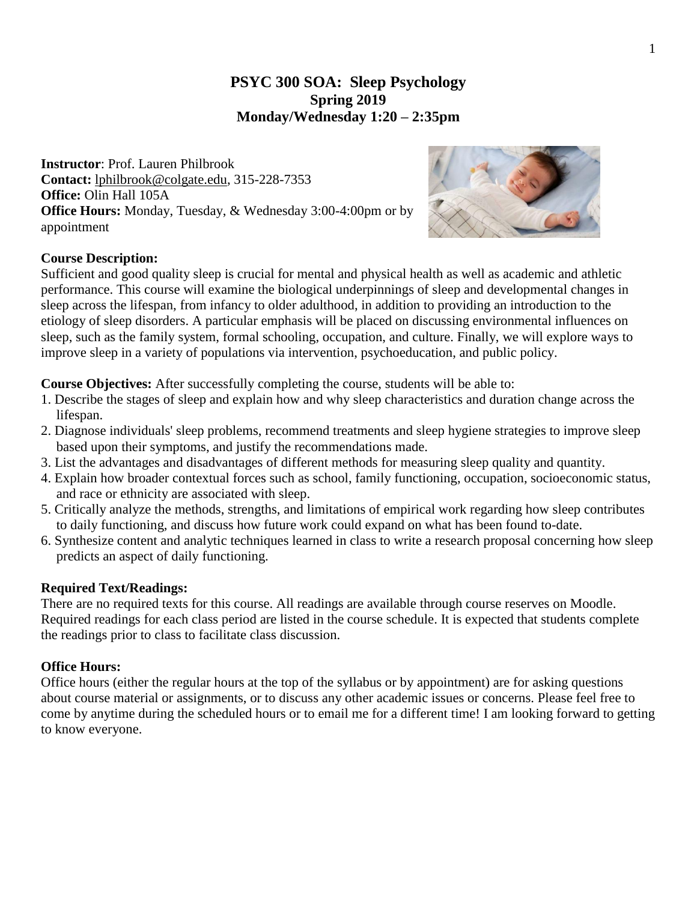# **PSYC 300 SOA: Sleep Psychology Spring 2019 Monday/Wednesday 1:20 – 2:35pm**

**Instructor**: Prof. Lauren Philbrook **Contact:** [lphilbrook@colgate.edu,](mailto:09lep@williams.edu) 315-228-7353 **Office:** Olin Hall 105A **Office Hours:** Monday, Tuesday, & Wednesday 3:00-4:00pm or by appointment



## **Course Description:**

Sufficient and good quality sleep is crucial for mental and physical health as well as academic and athletic performance. This course will examine the biological underpinnings of sleep and developmental changes in sleep across the lifespan, from infancy to older adulthood, in addition to providing an introduction to the etiology of sleep disorders. A particular emphasis will be placed on discussing environmental influences on sleep, such as the family system, formal schooling, occupation, and culture. Finally, we will explore ways to improve sleep in a variety of populations via intervention, psychoeducation, and public policy.

**Course Objectives:** After successfully completing the course, students will be able to:

- 1. Describe the stages of sleep and explain how and why sleep characteristics and duration change across the lifespan.
- 2. Diagnose individuals' sleep problems, recommend treatments and sleep hygiene strategies to improve sleep based upon their symptoms, and justify the recommendations made.
- 3. List the advantages and disadvantages of different methods for measuring sleep quality and quantity.
- 4. Explain how broader contextual forces such as school, family functioning, occupation, socioeconomic status, and race or ethnicity are associated with sleep.
- 5. Critically analyze the methods, strengths, and limitations of empirical work regarding how sleep contributes to daily functioning, and discuss how future work could expand on what has been found to-date.
- 6. Synthesize content and analytic techniques learned in class to write a research proposal concerning how sleep predicts an aspect of daily functioning.

### **Required Text/Readings:**

There are no required texts for this course. All readings are available through course reserves on Moodle. Required readings for each class period are listed in the course schedule. It is expected that students complete the readings prior to class to facilitate class discussion.

### **Office Hours:**

Office hours (either the regular hours at the top of the syllabus or by appointment) are for asking questions about course material or assignments, or to discuss any other academic issues or concerns. Please feel free to come by anytime during the scheduled hours or to email me for a different time! I am looking forward to getting to know everyone.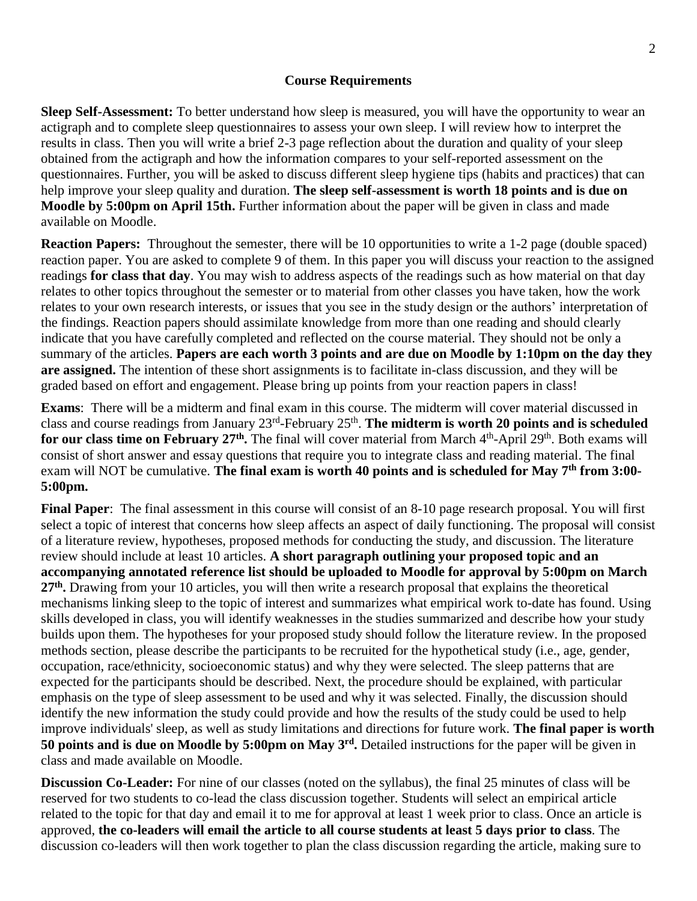### **Course Requirements**

**Sleep Self-Assessment:** To better understand how sleep is measured, you will have the opportunity to wear an actigraph and to complete sleep questionnaires to assess your own sleep. I will review how to interpret the results in class. Then you will write a brief 2-3 page reflection about the duration and quality of your sleep obtained from the actigraph and how the information compares to your self-reported assessment on the questionnaires. Further, you will be asked to discuss different sleep hygiene tips (habits and practices) that can help improve your sleep quality and duration. **The sleep self-assessment is worth 18 points and is due on Moodle by 5:00pm on April 15th.** Further information about the paper will be given in class and made available on Moodle.

**Reaction Papers:** Throughout the semester, there will be 10 opportunities to write a 1-2 page (double spaced) reaction paper. You are asked to complete 9 of them. In this paper you will discuss your reaction to the assigned readings **for class that day**. You may wish to address aspects of the readings such as how material on that day relates to other topics throughout the semester or to material from other classes you have taken, how the work relates to your own research interests, or issues that you see in the study design or the authors' interpretation of the findings. Reaction papers should assimilate knowledge from more than one reading and should clearly indicate that you have carefully completed and reflected on the course material. They should not be only a summary of the articles. **Papers are each worth 3 points and are due on Moodle by 1:10pm on the day they are assigned.** The intention of these short assignments is to facilitate in-class discussion, and they will be graded based on effort and engagement. Please bring up points from your reaction papers in class!

**Exams**: There will be a midterm and final exam in this course. The midterm will cover material discussed in class and course readings from January 23rd -February 25th . **The midterm is worth 20 points and is scheduled**  for our class time on February 27<sup>th</sup>. The final will cover material from March 4<sup>th</sup>-April 29<sup>th</sup>. Both exams will consist of short answer and essay questions that require you to integrate class and reading material. The final exam will NOT be cumulative. **The final exam is worth 40 points and is scheduled for May 7th from 3:00- 5:00pm.**

**Final Paper**: The final assessment in this course will consist of an 8-10 page research proposal. You will first select a topic of interest that concerns how sleep affects an aspect of daily functioning. The proposal will consist of a literature review, hypotheses, proposed methods for conducting the study, and discussion. The literature review should include at least 10 articles. **A short paragraph outlining your proposed topic and an accompanying annotated reference list should be uploaded to Moodle for approval by 5:00pm on March**  27<sup>th</sup>. Drawing from your 10 articles, you will then write a research proposal that explains the theoretical mechanisms linking sleep to the topic of interest and summarizes what empirical work to-date has found. Using skills developed in class, you will identify weaknesses in the studies summarized and describe how your study builds upon them. The hypotheses for your proposed study should follow the literature review. In the proposed methods section, please describe the participants to be recruited for the hypothetical study (i.e., age, gender, occupation, race/ethnicity, socioeconomic status) and why they were selected. The sleep patterns that are expected for the participants should be described. Next, the procedure should be explained, with particular emphasis on the type of sleep assessment to be used and why it was selected. Finally, the discussion should identify the new information the study could provide and how the results of the study could be used to help improve individuals' sleep, as well as study limitations and directions for future work. **The final paper is worth 50 points and is due on Moodle by 5:00pm on May 3rd .** Detailed instructions for the paper will be given in class and made available on Moodle.

**Discussion Co-Leader:** For nine of our classes (noted on the syllabus), the final 25 minutes of class will be reserved for two students to co-lead the class discussion together. Students will select an empirical article related to the topic for that day and email it to me for approval at least 1 week prior to class. Once an article is approved, **the co-leaders will email the article to all course students at least 5 days prior to class**. The discussion co-leaders will then work together to plan the class discussion regarding the article, making sure to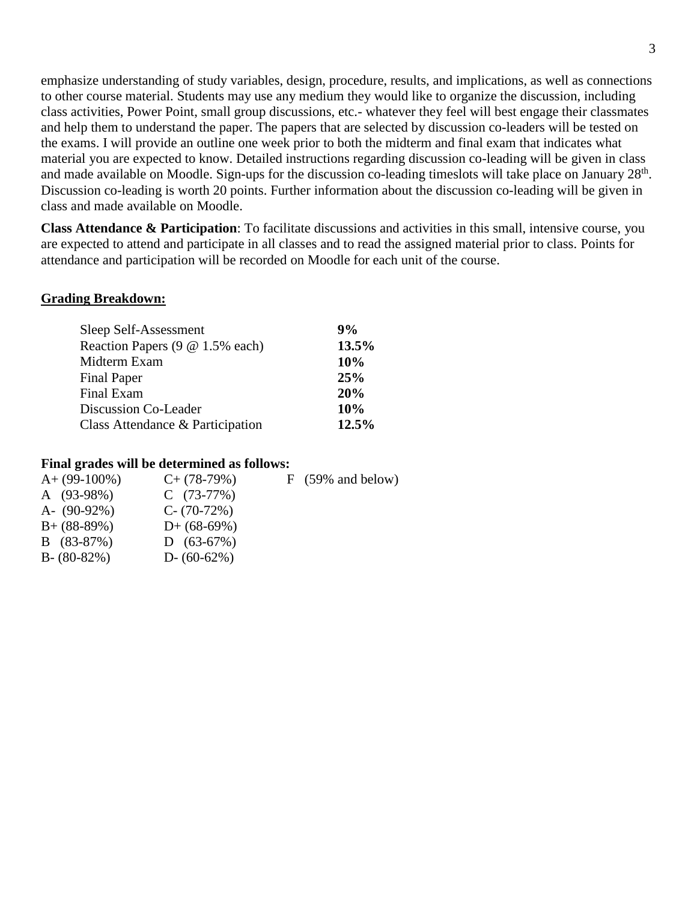emphasize understanding of study variables, design, procedure, results, and implications, as well as connections to other course material. Students may use any medium they would like to organize the discussion, including class activities, Power Point, small group discussions, etc.- whatever they feel will best engage their classmates and help them to understand the paper. The papers that are selected by discussion co-leaders will be tested on the exams. I will provide an outline one week prior to both the midterm and final exam that indicates what material you are expected to know. Detailed instructions regarding discussion co-leading will be given in class and made available on Moodle. Sign-ups for the discussion co-leading timeslots will take place on January  $28<sup>th</sup>$ . Discussion co-leading is worth 20 points. Further information about the discussion co-leading will be given in class and made available on Moodle.

**Class Attendance & Participation**: To facilitate discussions and activities in this small, intensive course, you are expected to attend and participate in all classes and to read the assigned material prior to class. Points for attendance and participation will be recorded on Moodle for each unit of the course.

#### **Grading Breakdown:**

| 9%    |
|-------|
| 13.5% |
| 10%   |
| 25%   |
| 20%   |
| 10%   |
| 12.5% |
|       |

#### **Final grades will be determined as follows:**

| $C+$ (78-79%)  | $F(59\% \text{ and below})$ |
|----------------|-----------------------------|
| $C(73-77%)$    |                             |
| $C - (70-72%)$ |                             |
| $D+$ (68-69%)  |                             |
| $D(63-67%)$    |                             |
| D- $(60-62%)$  |                             |
|                |                             |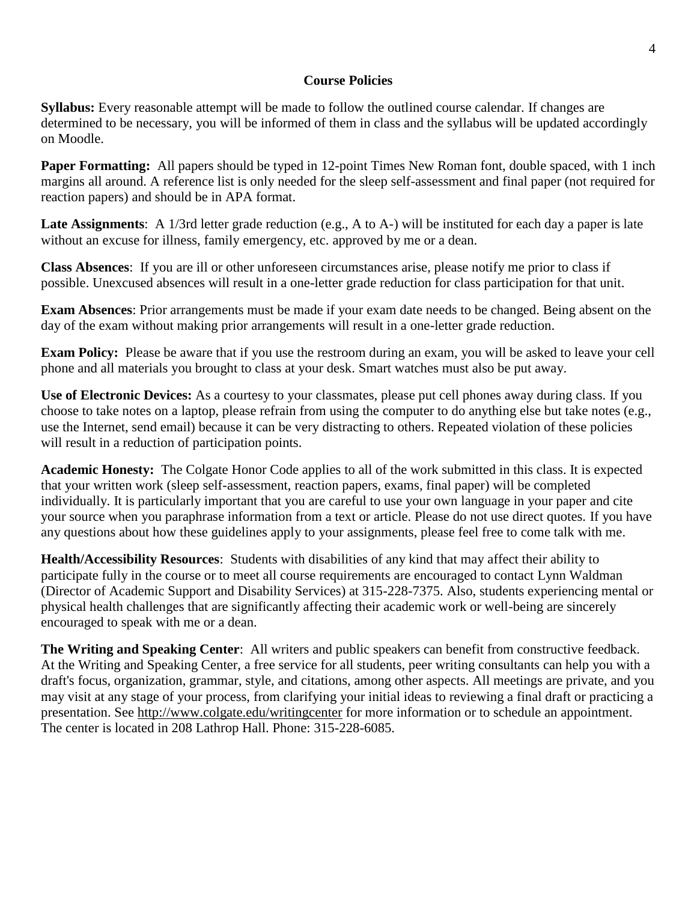## **Course Policies**

**Syllabus:** Every reasonable attempt will be made to follow the outlined course calendar. If changes are determined to be necessary, you will be informed of them in class and the syllabus will be updated accordingly on Moodle.

**Paper Formatting:** All papers should be typed in 12-point Times New Roman font, double spaced, with 1 inch margins all around. A reference list is only needed for the sleep self-assessment and final paper (not required for reaction papers) and should be in APA format.

**Late Assignments**: A 1/3rd letter grade reduction (e.g., A to A-) will be instituted for each day a paper is late without an excuse for illness, family emergency, etc. approved by me or a dean.

**Class Absences**: If you are ill or other unforeseen circumstances arise, please notify me prior to class if possible. Unexcused absences will result in a one-letter grade reduction for class participation for that unit.

**Exam Absences**: Prior arrangements must be made if your exam date needs to be changed. Being absent on the day of the exam without making prior arrangements will result in a one-letter grade reduction.

**Exam Policy:** Please be aware that if you use the restroom during an exam, you will be asked to leave your cell phone and all materials you brought to class at your desk. Smart watches must also be put away.

**Use of Electronic Devices:** As a courtesy to your classmates, please put cell phones away during class. If you choose to take notes on a laptop, please refrain from using the computer to do anything else but take notes (e.g., use the Internet, send email) because it can be very distracting to others. Repeated violation of these policies will result in a reduction of participation points.

**Academic Honesty:** The Colgate Honor Code applies to all of the work submitted in this class. It is expected that your written work (sleep self-assessment, reaction papers, exams, final paper) will be completed individually. It is particularly important that you are careful to use your own language in your paper and cite your source when you paraphrase information from a text or article. Please do not use direct quotes. If you have any questions about how these guidelines apply to your assignments, please feel free to come talk with me.

**Health/Accessibility Resources**: Students with disabilities of any kind that may affect their ability to participate fully in the course or to meet all course requirements are encouraged to contact Lynn Waldman (Director of Academic Support and Disability Services) at 315-228-7375. Also, students experiencing mental or physical health challenges that are significantly affecting their academic work or well-being are sincerely encouraged to speak with me or a dean.

**The Writing and Speaking Center**: All writers and public speakers can benefit from constructive feedback. At the Writing and Speaking Center, a free service for all students, peer writing consultants can help you with a draft's focus, organization, grammar, style, and citations, among other aspects. All meetings are private, and you may visit at any stage of your process, from clarifying your initial ideas to reviewing a final draft or practicing a presentation. See <http://www.colgate.edu/writingcenter> for more information or to schedule an appointment. The center is located in 208 Lathrop Hall. Phone: 315-228-6085.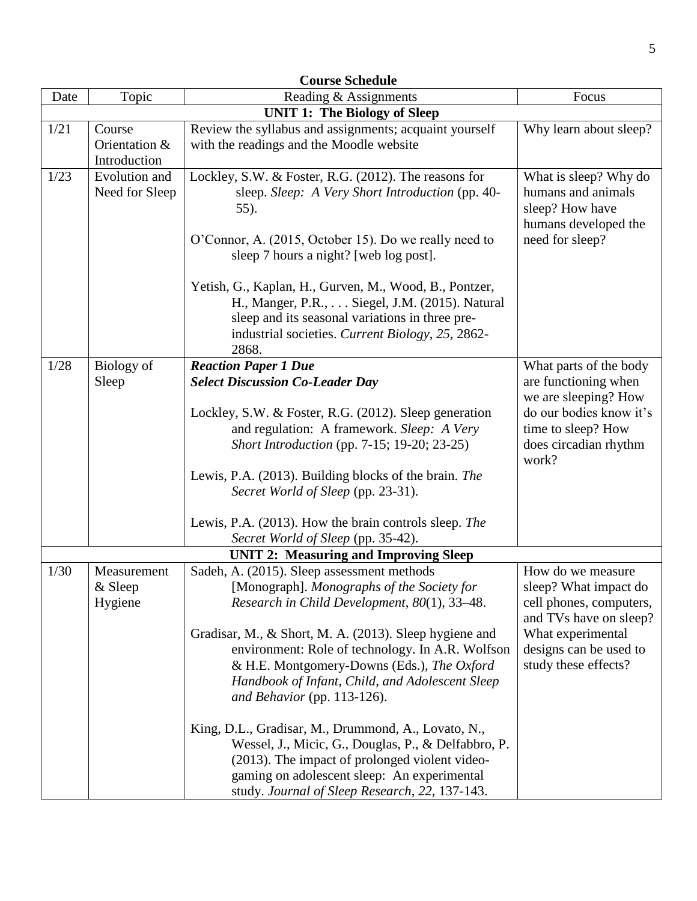| <b>Course Schedule</b> |                                         |                                                                                                                                                                                                                                                               |                                                                                                           |  |
|------------------------|-----------------------------------------|---------------------------------------------------------------------------------------------------------------------------------------------------------------------------------------------------------------------------------------------------------------|-----------------------------------------------------------------------------------------------------------|--|
| Date                   | Topic                                   | Reading & Assignments                                                                                                                                                                                                                                         | Focus                                                                                                     |  |
|                        |                                         | <b>UNIT 1: The Biology of Sleep</b>                                                                                                                                                                                                                           |                                                                                                           |  |
| 1/21                   | Course<br>Orientation &<br>Introduction | Review the syllabus and assignments; acquaint yourself<br>with the readings and the Moodle website                                                                                                                                                            | Why learn about sleep?                                                                                    |  |
| 1/23                   | Evolution and<br>Need for Sleep         | Lockley, S.W. & Foster, R.G. (2012). The reasons for<br>sleep. Sleep: A Very Short Introduction (pp. 40-<br>55).<br>O'Connor, A. (2015, October 15). Do we really need to                                                                                     | What is sleep? Why do<br>humans and animals<br>sleep? How have<br>humans developed the<br>need for sleep? |  |
|                        |                                         | sleep 7 hours a night? [web log post].<br>Yetish, G., Kaplan, H., Gurven, M., Wood, B., Pontzer,<br>H., Manger, P.R., Siegel, J.M. (2015). Natural<br>sleep and its seasonal variations in three pre-<br>industrial societies. Current Biology, 25, 2862-     |                                                                                                           |  |
|                        |                                         | 2868.                                                                                                                                                                                                                                                         |                                                                                                           |  |
| 1/28                   | Biology of<br>Sleep                     | <b>Reaction Paper 1 Due</b><br><b>Select Discussion Co-Leader Day</b>                                                                                                                                                                                         | What parts of the body<br>are functioning when<br>we are sleeping? How                                    |  |
|                        |                                         | Lockley, S.W. & Foster, R.G. (2012). Sleep generation<br>and regulation: A framework. Sleep: A Very<br>Short Introduction (pp. 7-15; 19-20; 23-25)                                                                                                            | do our bodies know it's<br>time to sleep? How<br>does circadian rhythm<br>work?                           |  |
|                        |                                         | Lewis, P.A. (2013). Building blocks of the brain. The<br>Secret World of Sleep (pp. 23-31).                                                                                                                                                                   |                                                                                                           |  |
|                        |                                         | Lewis, P.A. (2013). How the brain controls sleep. The                                                                                                                                                                                                         |                                                                                                           |  |
|                        |                                         | Secret World of Sleep (pp. 35-42).                                                                                                                                                                                                                            |                                                                                                           |  |
|                        |                                         | <b>UNIT 2: Measuring and Improving Sleep</b>                                                                                                                                                                                                                  |                                                                                                           |  |
| 1/30                   | Measurement                             | Sadeh, A. (2015). Sleep assessment methods                                                                                                                                                                                                                    | How do we measure                                                                                         |  |
|                        | & Sleep<br>Hygiene                      | [Monograph]. Monographs of the Society for<br>Research in Child Development, $80(1)$ , 33-48.                                                                                                                                                                 | sleep? What impact do<br>cell phones, computers,<br>and TVs have on sleep?                                |  |
|                        |                                         | Gradisar, M., & Short, M. A. (2013). Sleep hygiene and<br>environment: Role of technology. In A.R. Wolfson<br>& H.E. Montgomery-Downs (Eds.), The Oxford<br>Handbook of Infant, Child, and Adolescent Sleep<br>and Behavior (pp. 113-126).                    | What experimental<br>designs can be used to<br>study these effects?                                       |  |
|                        |                                         | King, D.L., Gradisar, M., Drummond, A., Lovato, N.,<br>Wessel, J., Micic, G., Douglas, P., & Delfabbro, P.<br>(2013). The impact of prolonged violent video-<br>gaming on adolescent sleep: An experimental<br>study. Journal of Sleep Research, 22, 137-143. |                                                                                                           |  |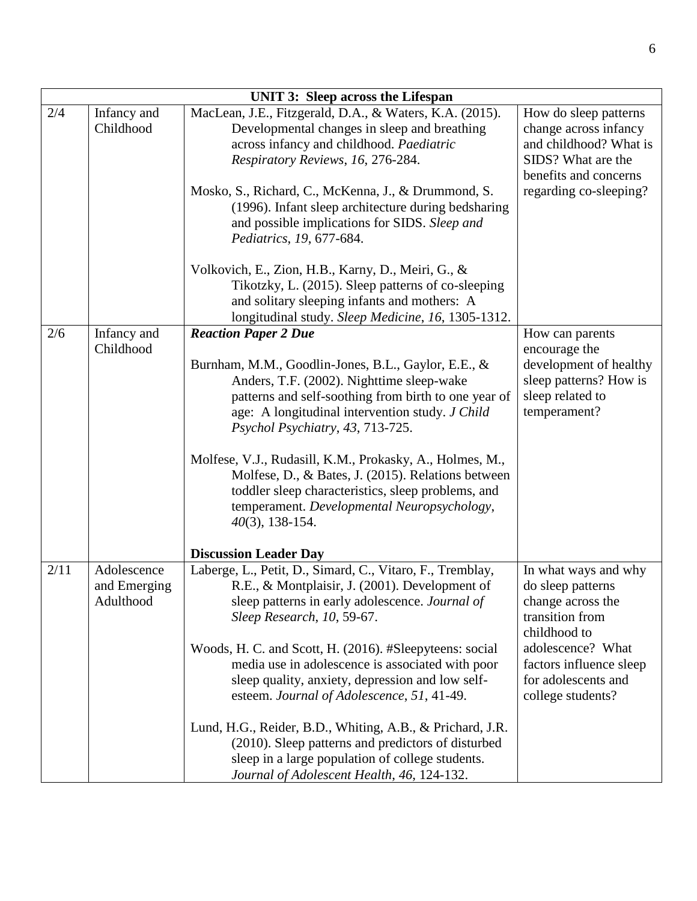|      | <b>UNIT 3: Sleep across the Lifespan</b> |                                                                                                                                                                                                                                                                                |                                                                                                                          |  |  |
|------|------------------------------------------|--------------------------------------------------------------------------------------------------------------------------------------------------------------------------------------------------------------------------------------------------------------------------------|--------------------------------------------------------------------------------------------------------------------------|--|--|
| 2/4  | Infancy and<br>Childhood                 | MacLean, J.E., Fitzgerald, D.A., & Waters, K.A. (2015).<br>Developmental changes in sleep and breathing<br>across infancy and childhood. Paediatric<br>Respiratory Reviews, 16, 276-284.                                                                                       | How do sleep patterns<br>change across infancy<br>and childhood? What is<br>SIDS? What are the<br>benefits and concerns  |  |  |
|      |                                          | Mosko, S., Richard, C., McKenna, J., & Drummond, S.<br>(1996). Infant sleep architecture during bedsharing<br>and possible implications for SIDS. Sleep and<br>Pediatrics, 19, 677-684.                                                                                        | regarding co-sleeping?                                                                                                   |  |  |
|      |                                          | Volkovich, E., Zion, H.B., Karny, D., Meiri, G., &<br>Tikotzky, L. (2015). Sleep patterns of co-sleeping<br>and solitary sleeping infants and mothers: A<br>longitudinal study. Sleep Medicine, 16, 1305-1312.                                                                 |                                                                                                                          |  |  |
| 2/6  | Infancy and<br>Childhood                 | <b>Reaction Paper 2 Due</b><br>Burnham, M.M., Goodlin-Jones, B.L., Gaylor, E.E., &<br>Anders, T.F. (2002). Nighttime sleep-wake<br>patterns and self-soothing from birth to one year of<br>age: A longitudinal intervention study. J Child<br>Psychol Psychiatry, 43, 713-725. | How can parents<br>encourage the<br>development of healthy<br>sleep patterns? How is<br>sleep related to<br>temperament? |  |  |
|      |                                          | Molfese, V.J., Rudasill, K.M., Prokasky, A., Holmes, M.,<br>Molfese, D., & Bates, J. (2015). Relations between<br>toddler sleep characteristics, sleep problems, and<br>temperament. Developmental Neuropsychology,<br>$40(3)$ , 138-154.                                      |                                                                                                                          |  |  |
| 2/11 | Adolescence                              | <b>Discussion Leader Day</b><br>Laberge, L., Petit, D., Simard, C., Vitaro, F., Tremblay,                                                                                                                                                                                      | In what ways and why                                                                                                     |  |  |
|      | and Emerging<br>Adulthood                | R.E., & Montplaisir, J. (2001). Development of<br>sleep patterns in early adolescence. Journal of<br>Sleep Research, 10, 59-67.                                                                                                                                                | do sleep patterns<br>change across the<br>transition from<br>childhood to                                                |  |  |
|      |                                          | Woods, H. C. and Scott, H. (2016). #Sleepyteens: social<br>media use in adolescence is associated with poor<br>sleep quality, anxiety, depression and low self-<br>esteem. Journal of Adolescence, 51, 41-49.                                                                  | adolescence? What<br>factors influence sleep<br>for adolescents and<br>college students?                                 |  |  |
|      |                                          | Lund, H.G., Reider, B.D., Whiting, A.B., & Prichard, J.R.<br>(2010). Sleep patterns and predictors of disturbed<br>sleep in a large population of college students.<br>Journal of Adolescent Health, 46, 124-132.                                                              |                                                                                                                          |  |  |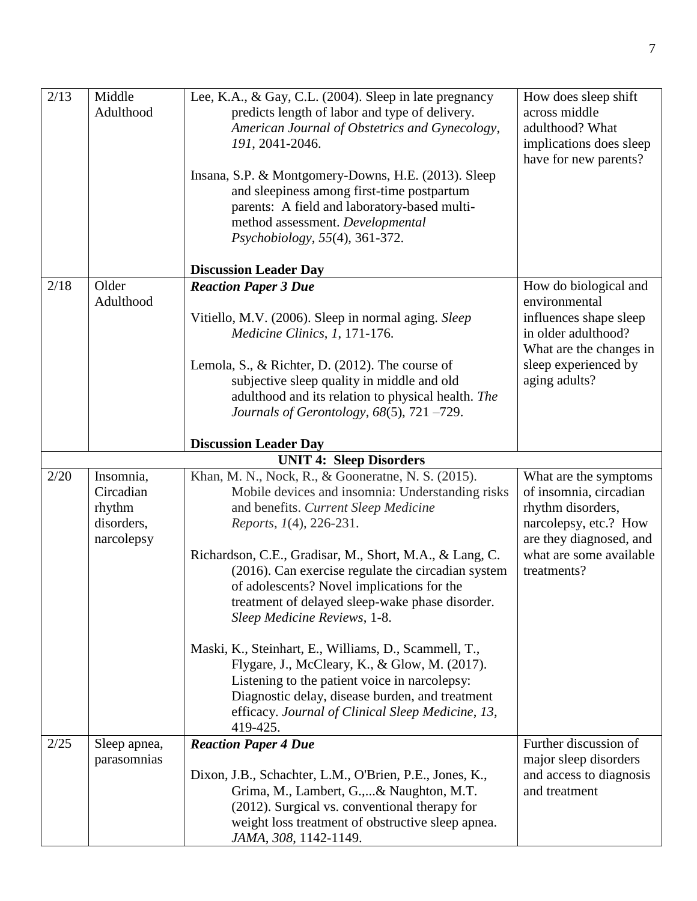| 2/13 | Middle<br>Adulthood | Lee, K.A., & Gay, C.L. (2004). Sleep in late pregnancy<br>predicts length of labor and type of delivery.<br>American Journal of Obstetrics and Gynecology,<br>191, 2041-2046. | How does sleep shift<br>across middle<br>adulthood? What<br>implications does sleep<br>have for new parents? |
|------|---------------------|-------------------------------------------------------------------------------------------------------------------------------------------------------------------------------|--------------------------------------------------------------------------------------------------------------|
|      |                     | Insana, S.P. & Montgomery-Downs, H.E. (2013). Sleep<br>and sleepiness among first-time postpartum<br>parents: A field and laboratory-based multi-                             |                                                                                                              |
|      |                     | method assessment. Developmental<br>Psychobiology, 55(4), 361-372.                                                                                                            |                                                                                                              |
|      |                     | <b>Discussion Leader Day</b>                                                                                                                                                  |                                                                                                              |
| 2/18 | Older<br>Adulthood  | <b>Reaction Paper 3 Due</b>                                                                                                                                                   | How do biological and<br>environmental                                                                       |
|      |                     | Vitiello, M.V. (2006). Sleep in normal aging. Sleep<br>Medicine Clinics, 1, 171-176.                                                                                          | influences shape sleep<br>in older adulthood?                                                                |
|      |                     |                                                                                                                                                                               | What are the changes in                                                                                      |
|      |                     | Lemola, S., & Richter, D. (2012). The course of                                                                                                                               | sleep experienced by                                                                                         |
|      |                     | subjective sleep quality in middle and old<br>adulthood and its relation to physical health. The                                                                              | aging adults?                                                                                                |
|      |                     | Journals of Gerontology, $68(5)$ , $721 - 729$ .                                                                                                                              |                                                                                                              |
|      |                     | <b>Discussion Leader Day</b>                                                                                                                                                  |                                                                                                              |
|      |                     | <b>UNIT 4: Sleep Disorders</b>                                                                                                                                                |                                                                                                              |
| 2/20 | Insomnia,           | Khan, M. N., Nock, R., & Gooneratne, N. S. (2015).                                                                                                                            | What are the symptoms                                                                                        |
|      | Circadian<br>rhythm | Mobile devices and insomnia: Understanding risks<br>and benefits. Current Sleep Medicine                                                                                      | of insomnia, circadian<br>rhythm disorders,                                                                  |
|      | disorders,          | Reports, 1(4), 226-231.                                                                                                                                                       | narcolepsy, etc.? How                                                                                        |
|      | narcolepsy          |                                                                                                                                                                               | are they diagnosed, and                                                                                      |
|      |                     | Richardson, C.E., Gradisar, M., Short, M.A., & Lang, C.                                                                                                                       | what are some available                                                                                      |
|      |                     | (2016). Can exercise regulate the circadian system<br>of adolescents? Novel implications for the                                                                              | treatments?                                                                                                  |
|      |                     | treatment of delayed sleep-wake phase disorder.                                                                                                                               |                                                                                                              |
|      |                     | Sleep Medicine Reviews, 1-8.                                                                                                                                                  |                                                                                                              |
|      |                     | Maski, K., Steinhart, E., Williams, D., Scammell, T.,                                                                                                                         |                                                                                                              |
|      |                     | Flygare, J., McCleary, K., & Glow, M. (2017).                                                                                                                                 |                                                                                                              |
|      |                     | Listening to the patient voice in narcolepsy:<br>Diagnostic delay, disease burden, and treatment                                                                              |                                                                                                              |
|      |                     | efficacy. Journal of Clinical Sleep Medicine, 13,                                                                                                                             |                                                                                                              |
|      |                     | 419-425.                                                                                                                                                                      |                                                                                                              |
| 2/25 | Sleep apnea,        | <b>Reaction Paper 4 Due</b>                                                                                                                                                   | Further discussion of                                                                                        |
|      | parasomnias         | Dixon, J.B., Schachter, L.M., O'Brien, P.E., Jones, K.,                                                                                                                       | major sleep disorders<br>and access to diagnosis                                                             |
|      |                     | Grima, M., Lambert, G.,& Naughton, M.T.                                                                                                                                       | and treatment                                                                                                |
|      |                     | (2012). Surgical vs. conventional therapy for                                                                                                                                 |                                                                                                              |
|      |                     | weight loss treatment of obstructive sleep apnea.                                                                                                                             |                                                                                                              |
|      |                     | JAMA, 308, 1142-1149.                                                                                                                                                         |                                                                                                              |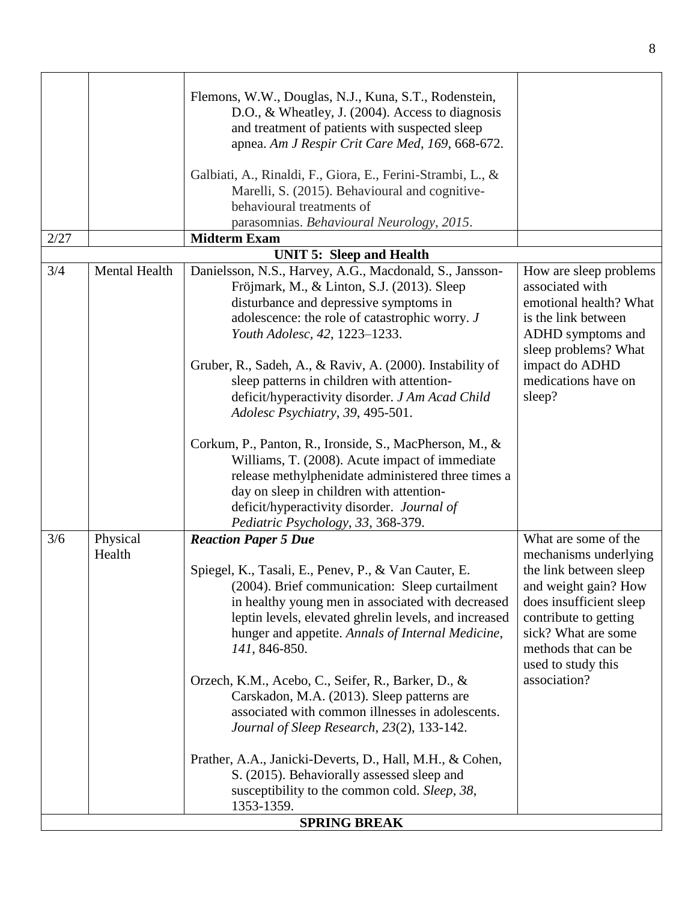| 2/27                      | Flemons, W.W., Douglas, N.J., Kuna, S.T., Rodenstein,<br>D.O., & Wheatley, J. (2004). Access to diagnosis<br>and treatment of patients with suspected sleep<br>apnea. Am J Respir Crit Care Med, 169, 668-672.<br>Galbiati, A., Rinaldi, F., Giora, E., Ferini-Strambi, L., &<br>Marelli, S. (2015). Behavioural and cognitive-<br>behavioural treatments of<br>parasomnias. Behavioural Neurology, 2015.<br><b>Midterm Exam</b>                                                                                                                                                                                                                                                                                                                                      |                                                                                                                                                                                                                                         |
|---------------------------|-----------------------------------------------------------------------------------------------------------------------------------------------------------------------------------------------------------------------------------------------------------------------------------------------------------------------------------------------------------------------------------------------------------------------------------------------------------------------------------------------------------------------------------------------------------------------------------------------------------------------------------------------------------------------------------------------------------------------------------------------------------------------|-----------------------------------------------------------------------------------------------------------------------------------------------------------------------------------------------------------------------------------------|
|                           | <b>UNIT 5: Sleep and Health</b>                                                                                                                                                                                                                                                                                                                                                                                                                                                                                                                                                                                                                                                                                                                                       |                                                                                                                                                                                                                                         |
| Mental Health<br>3/4      | Danielsson, N.S., Harvey, A.G., Macdonald, S., Jansson-<br>Fröjmark, M., & Linton, S.J. (2013). Sleep<br>disturbance and depressive symptoms in<br>adolescence: the role of catastrophic worry. J<br>Youth Adolesc, 42, 1223-1233.<br>Gruber, R., Sadeh, A., & Raviv, A. (2000). Instability of<br>sleep patterns in children with attention-<br>deficit/hyperactivity disorder. J Am Acad Child<br>Adolesc Psychiatry, 39, 495-501.<br>Corkum, P., Panton, R., Ironside, S., MacPherson, M., &<br>Williams, T. (2008). Acute impact of immediate<br>release methylphenidate administered three times a<br>day on sleep in children with attention-                                                                                                                   | How are sleep problems<br>associated with<br>emotional health? What<br>is the link between<br>ADHD symptoms and<br>sleep problems? What<br>impact do ADHD<br>medications have on<br>sleep?                                              |
|                           | deficit/hyperactivity disorder. Journal of                                                                                                                                                                                                                                                                                                                                                                                                                                                                                                                                                                                                                                                                                                                            |                                                                                                                                                                                                                                         |
| 3/6<br>Physical<br>Health | Pediatric Psychology, 33, 368-379.<br><b>Reaction Paper 5 Due</b><br>Spiegel, K., Tasali, E., Penev, P., & Van Cauter, E.<br>(2004). Brief communication: Sleep curtailment<br>in healthy young men in associated with decreased<br>leptin levels, elevated ghrelin levels, and increased<br>hunger and appetite. Annals of Internal Medicine,<br>141, 846-850.<br>Orzech, K.M., Acebo, C., Seifer, R., Barker, D., &<br>Carskadon, M.A. (2013). Sleep patterns are<br>associated with common illnesses in adolescents.<br>Journal of Sleep Research, 23(2), 133-142.<br>Prather, A.A., Janicki-Deverts, D., Hall, M.H., & Cohen,<br>S. (2015). Behaviorally assessed sleep and<br>susceptibility to the common cold. Sleep, 38,<br>1353-1359.<br><b>SPRING BREAK</b> | What are some of the<br>mechanisms underlying<br>the link between sleep<br>and weight gain? How<br>does insufficient sleep<br>contribute to getting<br>sick? What are some<br>methods that can be<br>used to study this<br>association? |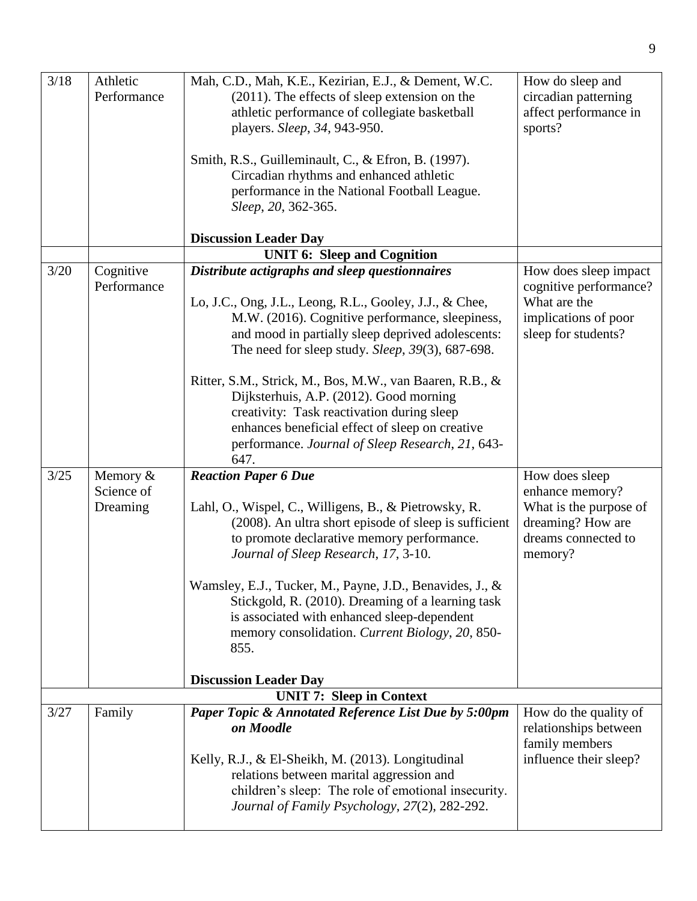| 3/18 | Athletic    | Mah, C.D., Mah, K.E., Kezirian, E.J., & Dement, W.C.            | How do sleep and       |
|------|-------------|-----------------------------------------------------------------|------------------------|
|      | Performance | $(2011)$ . The effects of sleep extension on the                | circadian patterning   |
|      |             | athletic performance of collegiate basketball                   | affect performance in  |
|      |             | players. Sleep, 34, 943-950.                                    | sports?                |
|      |             |                                                                 |                        |
|      |             | Smith, R.S., Guilleminault, C., & Efron, B. (1997).             |                        |
|      |             | Circadian rhythms and enhanced athletic                         |                        |
|      |             | performance in the National Football League.                    |                        |
|      |             | Sleep, 20, 362-365.                                             |                        |
|      |             |                                                                 |                        |
|      |             | <b>Discussion Leader Day</b>                                    |                        |
|      |             | <b>UNIT 6: Sleep and Cognition</b>                              |                        |
| 3/20 | Cognitive   | Distribute actigraphs and sleep questionnaires                  | How does sleep impact  |
|      | Performance |                                                                 | cognitive performance? |
|      |             | Lo, J.C., Ong, J.L., Leong, R.L., Gooley, J.J., & Chee,         | What are the           |
|      |             | M.W. (2016). Cognitive performance, sleepiness,                 | implications of poor   |
|      |             | and mood in partially sleep deprived adolescents:               | sleep for students?    |
|      |             | The need for sleep study. Sleep, 39(3), 687-698.                |                        |
|      |             |                                                                 |                        |
|      |             | Ritter, S.M., Strick, M., Bos, M.W., van Baaren, R.B., &        |                        |
|      |             | Dijksterhuis, A.P. (2012). Good morning                         |                        |
|      |             | creativity: Task reactivation during sleep                      |                        |
|      |             | enhances beneficial effect of sleep on creative                 |                        |
|      |             | performance. Journal of Sleep Research, 21, 643-                |                        |
|      |             | 647.                                                            |                        |
| 3/25 | Memory $&$  | <b>Reaction Paper 6 Due</b>                                     | How does sleep         |
|      | Science of  |                                                                 | enhance memory?        |
|      | Dreaming    | Lahl, O., Wispel, C., Willigens, B., & Pietrowsky, R.           | What is the purpose of |
|      |             | (2008). An ultra short episode of sleep is sufficient           | dreaming? How are      |
|      |             | to promote declarative memory performance.                      | dreams connected to    |
|      |             | Journal of Sleep Research, 17, 3-10.                            | memory?                |
|      |             |                                                                 |                        |
|      |             | Wamsley, E.J., Tucker, M., Payne, J.D., Benavides, J., &        |                        |
|      |             | Stickgold, R. (2010). Dreaming of a learning task               |                        |
|      |             | is associated with enhanced sleep-dependent                     |                        |
|      |             | memory consolidation. Current Biology, 20, 850-                 |                        |
|      |             | 855.                                                            |                        |
|      |             |                                                                 |                        |
|      |             | <b>Discussion Leader Day</b><br><b>UNIT 7: Sleep in Context</b> |                        |
|      |             |                                                                 |                        |
| 3/27 | Family      | Paper Topic & Annotated Reference List Due by 5:00pm            | How do the quality of  |
|      |             | on Moodle                                                       | relationships between  |
|      |             |                                                                 | family members         |
|      |             | Kelly, R.J., & El-Sheikh, M. (2013). Longitudinal               | influence their sleep? |
|      |             | relations between marital aggression and                        |                        |
|      |             | children's sleep: The role of emotional insecurity.             |                        |
|      |             | Journal of Family Psychology, 27(2), 282-292.                   |                        |
|      |             |                                                                 |                        |

9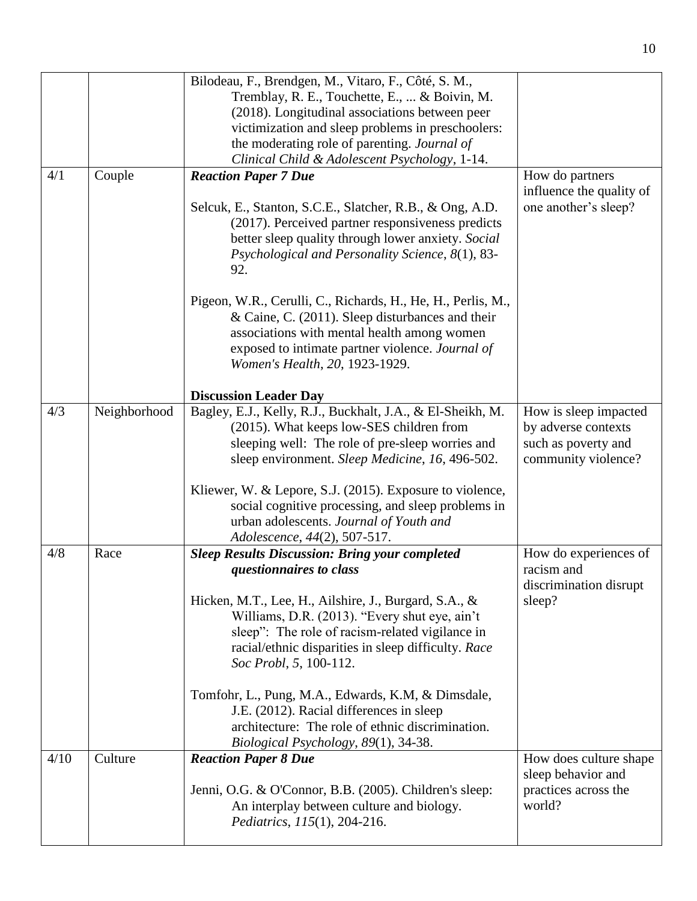|      |              | Bilodeau, F., Brendgen, M., Vitaro, F., Côté, S. M.,                                                                                                                                                                                                  |                                                               |
|------|--------------|-------------------------------------------------------------------------------------------------------------------------------------------------------------------------------------------------------------------------------------------------------|---------------------------------------------------------------|
|      |              | Tremblay, R. E., Touchette, E.,  & Boivin, M.                                                                                                                                                                                                         |                                                               |
|      |              | (2018). Longitudinal associations between peer                                                                                                                                                                                                        |                                                               |
|      |              | victimization and sleep problems in preschoolers:                                                                                                                                                                                                     |                                                               |
|      |              | the moderating role of parenting. Journal of                                                                                                                                                                                                          |                                                               |
|      |              | Clinical Child & Adolescent Psychology, 1-14.                                                                                                                                                                                                         |                                                               |
| 4/1  | Couple       | <b>Reaction Paper 7 Due</b>                                                                                                                                                                                                                           | How do partners                                               |
|      |              |                                                                                                                                                                                                                                                       | influence the quality of                                      |
|      |              | Selcuk, E., Stanton, S.C.E., Slatcher, R.B., & Ong, A.D.<br>(2017). Perceived partner responsiveness predicts<br>better sleep quality through lower anxiety. Social                                                                                   | one another's sleep?                                          |
|      |              | Psychological and Personality Science, 8(1), 83-<br>92.                                                                                                                                                                                               |                                                               |
|      |              | Pigeon, W.R., Cerulli, C., Richards, H., He, H., Perlis, M.,<br>& Caine, C. (2011). Sleep disturbances and their<br>associations with mental health among women<br>exposed to intimate partner violence. Journal of<br>Women's Health, 20, 1923-1929. |                                                               |
|      |              | <b>Discussion Leader Day</b>                                                                                                                                                                                                                          |                                                               |
| 4/3  | Neighborhood | Bagley, E.J., Kelly, R.J., Buckhalt, J.A., & El-Sheikh, M.                                                                                                                                                                                            | How is sleep impacted                                         |
|      |              | (2015). What keeps low-SES children from                                                                                                                                                                                                              | by adverse contexts                                           |
|      |              | sleeping well: The role of pre-sleep worries and<br>sleep environment. Sleep Medicine, 16, 496-502.                                                                                                                                                   | such as poverty and<br>community violence?                    |
|      |              | Kliewer, W. & Lepore, S.J. (2015). Exposure to violence,                                                                                                                                                                                              |                                                               |
|      |              | social cognitive processing, and sleep problems in                                                                                                                                                                                                    |                                                               |
|      |              | urban adolescents. Journal of Youth and                                                                                                                                                                                                               |                                                               |
|      |              | Adolescence, 44(2), 507-517.                                                                                                                                                                                                                          |                                                               |
| 4/8  | Race         | <b>Sleep Results Discussion: Bring your completed</b><br>questionnaires to class                                                                                                                                                                      | How do experiences of<br>racism and<br>discrimination disrupt |
|      |              | Hicken, M.T., Lee, H., Ailshire, J., Burgard, S.A., &                                                                                                                                                                                                 | sleep?                                                        |
|      |              | Williams, D.R. (2013). "Every shut eye, ain't                                                                                                                                                                                                         |                                                               |
|      |              | sleep": The role of racism-related vigilance in                                                                                                                                                                                                       |                                                               |
|      |              | racial/ethnic disparities in sleep difficulty. Race<br>Soc Probl, 5, 100-112.                                                                                                                                                                         |                                                               |
|      |              | Tomfohr, L., Pung, M.A., Edwards, K.M, & Dimsdale,                                                                                                                                                                                                    |                                                               |
|      |              | J.E. (2012). Racial differences in sleep                                                                                                                                                                                                              |                                                               |
|      |              | architecture: The role of ethnic discrimination.                                                                                                                                                                                                      |                                                               |
|      |              | Biological Psychology, 89(1), 34-38.                                                                                                                                                                                                                  |                                                               |
| 4/10 | Culture      | <b>Reaction Paper 8 Due</b>                                                                                                                                                                                                                           | How does culture shape<br>sleep behavior and                  |
|      |              | Jenni, O.G. & O'Connor, B.B. (2005). Children's sleep:                                                                                                                                                                                                | practices across the                                          |
|      |              | An interplay between culture and biology.<br>Pediatrics, 115(1), 204-216.                                                                                                                                                                             | world?                                                        |
|      |              |                                                                                                                                                                                                                                                       |                                                               |

10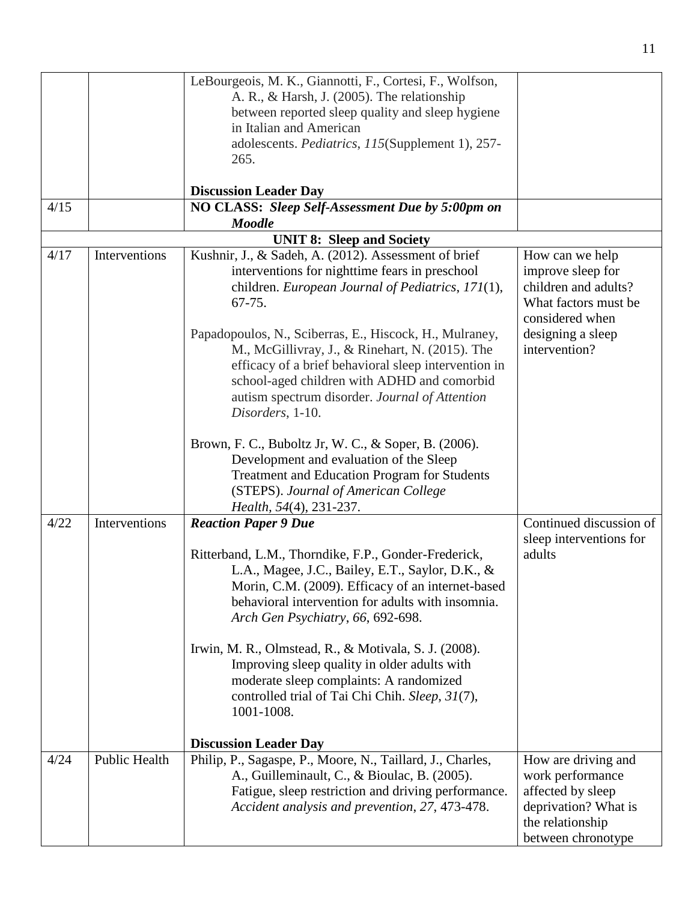|      |               | LeBourgeois, M. K., Giannotti, F., Cortesi, F., Wolfson,                    |                                           |
|------|---------------|-----------------------------------------------------------------------------|-------------------------------------------|
|      |               | A. R., & Harsh, J. (2005). The relationship                                 |                                           |
|      |               | between reported sleep quality and sleep hygiene<br>in Italian and American |                                           |
|      |               | adolescents. Pediatrics, 115(Supplement 1), 257-                            |                                           |
|      |               | 265.                                                                        |                                           |
|      |               |                                                                             |                                           |
|      |               | <b>Discussion Leader Day</b>                                                |                                           |
| 4/15 |               | NO CLASS: Sleep Self-Assessment Due by 5:00pm on                            |                                           |
|      |               | <b>Moodle</b>                                                               |                                           |
|      |               | <b>UNIT 8: Sleep and Society</b>                                            |                                           |
| 4/17 | Interventions | Kushnir, J., & Sadeh, A. (2012). Assessment of brief                        | How can we help                           |
|      |               | interventions for nighttime fears in preschool                              | improve sleep for<br>children and adults? |
|      |               | children. European Journal of Pediatrics, 171(1),<br>$67 - 75.$             | What factors must be                      |
|      |               |                                                                             | considered when                           |
|      |               | Papadopoulos, N., Sciberras, E., Hiscock, H., Mulraney,                     | designing a sleep                         |
|      |               | M., McGillivray, J., & Rinehart, N. (2015). The                             | intervention?                             |
|      |               | efficacy of a brief behavioral sleep intervention in                        |                                           |
|      |               | school-aged children with ADHD and comorbid                                 |                                           |
|      |               | autism spectrum disorder. Journal of Attention                              |                                           |
|      |               | Disorders, 1-10.                                                            |                                           |
|      |               | Brown, F. C., Buboltz Jr, W. C., & Soper, B. (2006).                        |                                           |
|      |               | Development and evaluation of the Sleep                                     |                                           |
|      |               | Treatment and Education Program for Students                                |                                           |
|      |               | (STEPS). Journal of American College                                        |                                           |
|      |               | Health, 54(4), 231-237.                                                     |                                           |
| 4/22 | Interventions | <b>Reaction Paper 9 Due</b>                                                 | Continued discussion of                   |
|      |               |                                                                             | sleep interventions for                   |
|      |               | Ritterband, L.M., Thorndike, F.P., Gonder-Frederick,                        | adults                                    |
|      |               | L.A., Magee, J.C., Bailey, E.T., Saylor, D.K., &                            |                                           |
|      |               | Morin, C.M. (2009). Efficacy of an internet-based                           |                                           |
|      |               | behavioral intervention for adults with insomnia.                           |                                           |
|      |               | Arch Gen Psychiatry, 66, 692-698.                                           |                                           |
|      |               | Irwin, M. R., Olmstead, R., & Motivala, S. J. (2008).                       |                                           |
|      |               | Improving sleep quality in older adults with                                |                                           |
|      |               | moderate sleep complaints: A randomized                                     |                                           |
|      |               | controlled trial of Tai Chi Chih. Sleep, 31(7),                             |                                           |
|      |               | 1001-1008.                                                                  |                                           |
|      |               | <b>Discussion Leader Day</b>                                                |                                           |
| 4/24 | Public Health | Philip, P., Sagaspe, P., Moore, N., Taillard, J., Charles,                  | How are driving and                       |
|      |               | A., Guilleminault, C., & Bioulac, B. (2005).                                | work performance                          |
|      |               | Fatigue, sleep restriction and driving performance.                         | affected by sleep                         |
|      |               | Accident analysis and prevention, 27, 473-478.                              | deprivation? What is                      |
|      |               |                                                                             | the relationship                          |
|      |               |                                                                             | between chronotype                        |